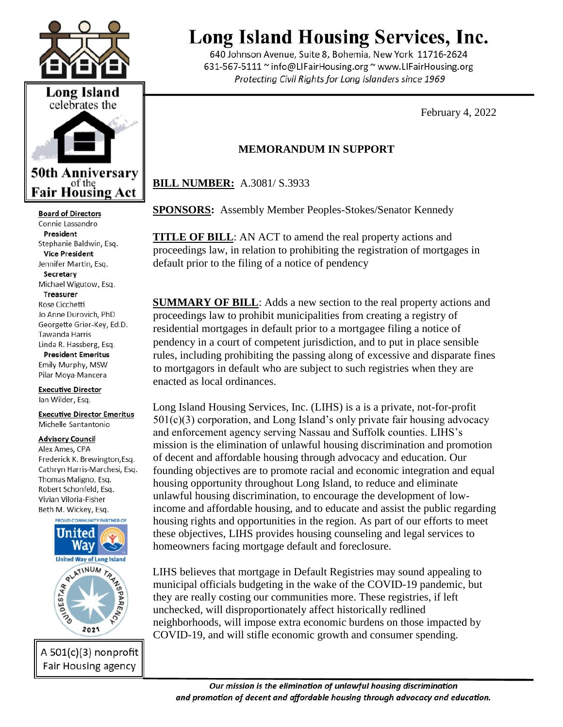



Fair Housing Act

**Board of Directors** Connie Lassandro President Stephanie Baldwin, Esq. **Vice President** Jennifer Martin, Esq. Secretary Michael Wigutow, Esq. **Treasurer** Rose Cicchetti Jo Anne Durovich, PhD Georgette Grier-Key, Ed.D. Tawanda Harris Linda R. Hassberg, Esq.

**President Emeritus** Emily Murphy, MSW Pilar Moya-Mancera

**Executive Director** Ian Wilder, Esq.

**Executive Director Emeritus** Michelle Santantonio

#### **Advisory Council**

Alex Ames, CPA Frederick K. Brewington, Esq. Cathryn Harris-Marchesi, Esq. Thomas Maligno, Esq. Robert Schonfeld, Esq. Vivian Viloria-Fisher Beth M. Wickey, Esq.



A 501(c)(3) nonprofit Fair Housing agency

# **Long Island Housing Services, Inc.**

640 Johnson Avenue, Suite 8, Bohemia, New York 11716-2624 631-567-5111 ~ info@LIFairHousing.org ~ www.LIFairHousing.org Protecting Civil Rights for Long Islanders since 1969

February 4, 2022

# **MEMORANDUM IN SUPPORT**

**BILL NUMBER:** A.3081/ S.3933

**SPONSORS:** Assembly Member Peoples-Stokes/Senator Kennedy

**TITLE OF BILL:** AN ACT to amend the real property actions and proceedings law, in relation to prohibiting the registration of mortgages in default prior to the filing of a notice of pendency

**SUMMARY OF BILL**: Adds a new section to the real property actions and proceedings law to prohibit municipalities from creating a registry of residential mortgages in default prior to a mortgagee filing a notice of pendency in a court of competent jurisdiction, and to put in place sensible rules, including prohibiting the passing along of excessive and disparate fines to mortgagors in default who are subject to such registries when they are enacted as local ordinances.

Long Island Housing Services, Inc. (LIHS) is a is a private, not-for-profit  $501(c)(3)$  corporation, and Long Island's only private fair housing advocacy and enforcement agency serving Nassau and Suffolk counties. LIHS's mission is the elimination of unlawful housing discrimination and promotion of decent and affordable housing through advocacy and education. Our founding objectives are to promote racial and economic integration and equal housing opportunity throughout Long Island, to reduce and eliminate unlawful housing discrimination, to encourage the development of lowincome and affordable housing, and to educate and assist the public regarding housing rights and opportunities in the region. As part of our efforts to meet these objectives, LIHS provides housing counseling and legal services to homeowners facing mortgage default and foreclosure.

LIHS believes that mortgage in Default Registries may sound appealing to municipal officials budgeting in the wake of the COVID-19 pandemic, but they are really costing our communities more. These registries, if left unchecked, will disproportionately affect historically redlined neighborhoods, will impose extra economic burdens on those impacted by COVID-19, and will stifle economic growth and consumer spending.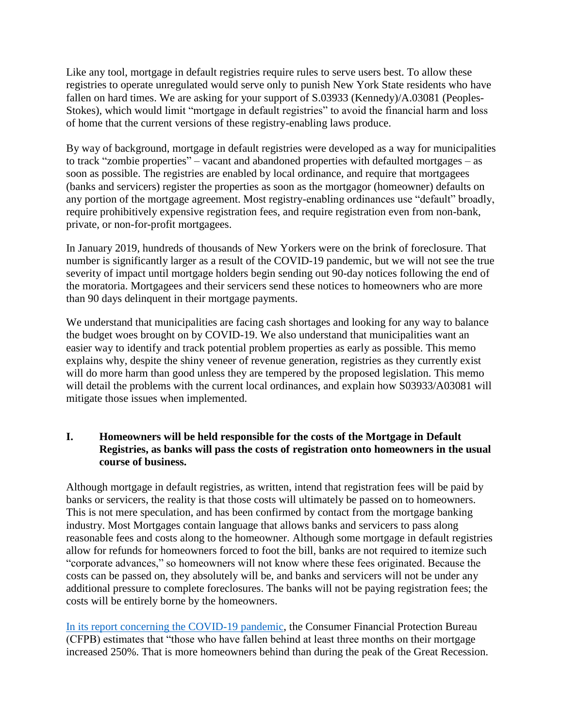Like any tool, mortgage in default registries require rules to serve users best. To allow these registries to operate unregulated would serve only to punish New York State residents who have fallen on hard times. We are asking for your support of S.03933 (Kennedy)/A.03081 (Peoples-Stokes), which would limit "mortgage in default registries" to avoid the financial harm and loss of home that the current versions of these registry-enabling laws produce.

By way of background, mortgage in default registries were developed as a way for municipalities to track "zombie properties" – vacant and abandoned properties with defaulted mortgages – as soon as possible. The registries are enabled by local ordinance, and require that mortgagees (banks and servicers) register the properties as soon as the mortgagor (homeowner) defaults on any portion of the mortgage agreement. Most registry-enabling ordinances use "default" broadly, require prohibitively expensive registration fees, and require registration even from non-bank, private, or non-for-profit mortgagees.

In January 2019, hundreds of thousands of New Yorkers were on the brink of foreclosure. That number is significantly larger as a result of the COVID-19 pandemic, but we will not see the true severity of impact until mortgage holders begin sending out 90-day notices following the end of the moratoria. Mortgagees and their servicers send these notices to homeowners who are more than 90 days delinquent in their mortgage payments.

We understand that municipalities are facing cash shortages and looking for any way to balance the budget woes brought on by COVID-19. We also understand that municipalities want an easier way to identify and track potential problem properties as early as possible. This memo explains why, despite the shiny veneer of revenue generation, registries as they currently exist will do more harm than good unless they are tempered by the proposed legislation. This memo will detail the problems with the current local ordinances, and explain how S03933/A03081 will mitigate those issues when implemented.

#### **I. Homeowners will be held responsible for the costs of the Mortgage in Default Registries, as banks will pass the costs of registration onto homeowners in the usual course of business.**

Although mortgage in default registries, as written, intend that registration fees will be paid by banks or servicers, the reality is that those costs will ultimately be passed on to homeowners. This is not mere speculation, and has been confirmed by contact from the mortgage banking industry. Most Mortgages contain language that allows banks and servicers to pass along reasonable fees and costs along to the homeowner. Although some mortgage in default registries allow for refunds for homeowners forced to foot the bill, banks are not required to itemize such "corporate advances," so homeowners will not know where these fees originated. Because the costs can be passed on, they absolutely will be, and banks and servicers will not be under any additional pressure to complete foreclosures. The banks will not be paying registration fees; the costs will be entirely borne by the homeowners.

[In its report concerning the COVID-19 pandemic,](https://dsnews.com/daily-dose/03-02-2021/millions-families-housing-insecurity) the Consumer Financial Protection Bureau (CFPB) estimates that "those who have fallen behind at least three months on their mortgage increased 250%. That is more homeowners behind than during the peak of the Great Recession.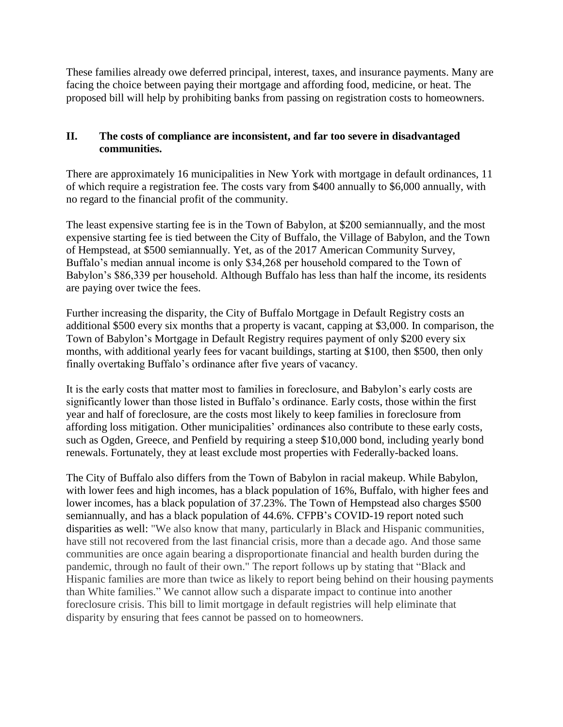These families already owe deferred principal, interest, taxes, and insurance payments. Many are facing the choice between paying their mortgage and affording food, medicine, or heat. The proposed bill will help by prohibiting banks from passing on registration costs to homeowners.

#### **II. The costs of compliance are inconsistent, and far too severe in disadvantaged communities.**

There are approximately 16 municipalities in New York with mortgage in default ordinances, 11 of which require a registration fee. The costs vary from \$400 annually to \$6,000 annually, with no regard to the financial profit of the community.

The least expensive starting fee is in the Town of Babylon, at \$200 semiannually, and the most expensive starting fee is tied between the City of Buffalo, the Village of Babylon, and the Town of Hempstead, at \$500 semiannually. Yet, as of the 2017 American Community Survey, Buffalo's median annual income is only \$34,268 per household compared to the Town of Babylon's \$86,339 per household. Although Buffalo has less than half the income, its residents are paying over twice the fees.

Further increasing the disparity, the City of Buffalo Mortgage in Default Registry costs an additional \$500 every six months that a property is vacant, capping at \$3,000. In comparison, the Town of Babylon's Mortgage in Default Registry requires payment of only \$200 every six months, with additional yearly fees for vacant buildings, starting at \$100, then \$500, then only finally overtaking Buffalo's ordinance after five years of vacancy.

It is the early costs that matter most to families in foreclosure, and Babylon's early costs are significantly lower than those listed in Buffalo's ordinance. Early costs, those within the first year and half of foreclosure, are the costs most likely to keep families in foreclosure from affording loss mitigation. Other municipalities' ordinances also contribute to these early costs, such as Ogden, Greece, and Penfield by requiring a steep \$10,000 bond, including yearly bond renewals. Fortunately, they at least exclude most properties with Federally-backed loans.

The City of Buffalo also differs from the Town of Babylon in racial makeup. While Babylon, with lower fees and high incomes, has a black population of 16%, Buffalo, with higher fees and lower incomes, has a black population of 37.23%. The Town of Hempstead also charges \$500 semiannually, and has a black population of 44.6%. CFPB's COVID-19 report noted such disparities as well: "We also know that many, particularly in Black and Hispanic communities, have still not recovered from the last financial crisis, more than a decade ago. And those same communities are once again bearing a disproportionate financial and health burden during the pandemic, through no fault of their own." The report follows up by stating that "Black and Hispanic families are more than twice as likely to report being behind on their housing payments than White families." We cannot allow such a disparate impact to continue into another foreclosure crisis. This bill to limit mortgage in default registries will help eliminate that disparity by ensuring that fees cannot be passed on to homeowners.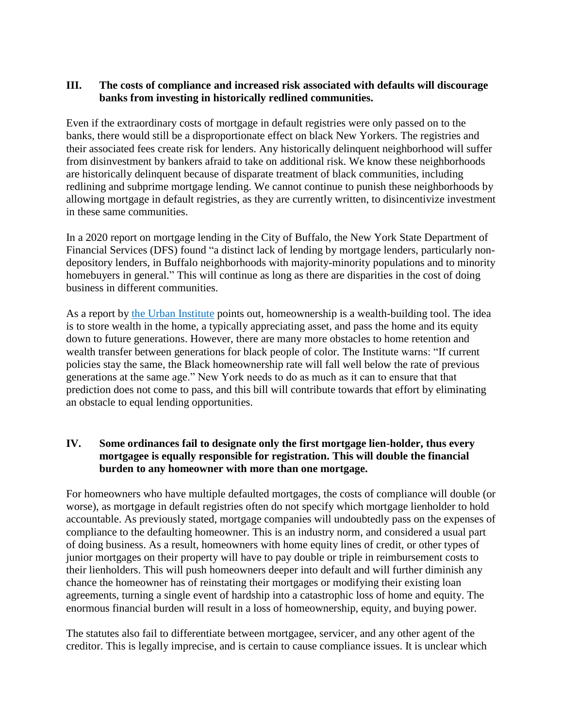#### **III. The costs of compliance and increased risk associated with defaults will discourage banks from investing in historically redlined communities.**

Even if the extraordinary costs of mortgage in default registries were only passed on to the banks, there would still be a disproportionate effect on black New Yorkers. The registries and their associated fees create risk for lenders. Any historically delinquent neighborhood will suffer from disinvestment by bankers afraid to take on additional risk. We know these neighborhoods are historically delinquent because of disparate treatment of black communities, including redlining and subprime mortgage lending. We cannot continue to punish these neighborhoods by allowing mortgage in default registries, as they are currently written, to disincentivize investment in these same communities.

In a 2020 report on mortgage lending in the City of Buffalo, the New York State Department of Financial Services (DFS) found "a distinct lack of lending by mortgage lenders, particularly nondepository lenders, in Buffalo neighborhoods with majority-minority populations and to minority homebuyers in general." This will continue as long as there are disparities in the cost of doing business in different communities.

As a report by [the Urban Institute](https://www.urban.org/research/publication/future-headship-and-homeownership/view/full_report) points out, homeownership is a wealth-building tool. The idea is to store wealth in the home, a typically appreciating asset, and pass the home and its equity down to future generations. However, there are many more obstacles to home retention and wealth transfer between generations for black people of color. The Institute warns: "If current policies stay the same, the Black homeownership rate will fall well below the rate of previous generations at the same age." New York needs to do as much as it can to ensure that that prediction does not come to pass, and this bill will contribute towards that effort by eliminating an obstacle to equal lending opportunities.

#### **IV. Some ordinances fail to designate only the first mortgage lien-holder, thus every mortgagee is equally responsible for registration. This will double the financial burden to any homeowner with more than one mortgage.**

For homeowners who have multiple defaulted mortgages, the costs of compliance will double (or worse), as mortgage in default registries often do not specify which mortgage lienholder to hold accountable. As previously stated, mortgage companies will undoubtedly pass on the expenses of compliance to the defaulting homeowner. This is an industry norm, and considered a usual part of doing business. As a result, homeowners with home equity lines of credit, or other types of junior mortgages on their property will have to pay double or triple in reimbursement costs to their lienholders. This will push homeowners deeper into default and will further diminish any chance the homeowner has of reinstating their mortgages or modifying their existing loan agreements, turning a single event of hardship into a catastrophic loss of home and equity. The enormous financial burden will result in a loss of homeownership, equity, and buying power.

The statutes also fail to differentiate between mortgagee, servicer, and any other agent of the creditor. This is legally imprecise, and is certain to cause compliance issues. It is unclear which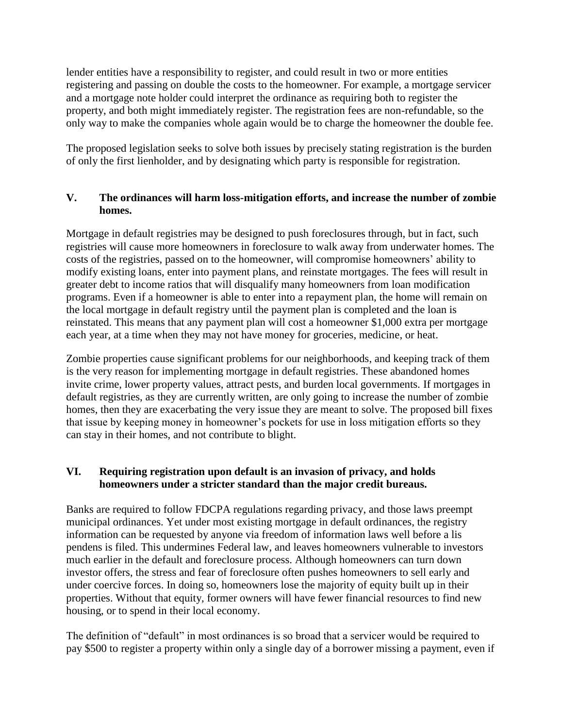lender entities have a responsibility to register, and could result in two or more entities registering and passing on double the costs to the homeowner. For example, a mortgage servicer and a mortgage note holder could interpret the ordinance as requiring both to register the property, and both might immediately register. The registration fees are non-refundable, so the only way to make the companies whole again would be to charge the homeowner the double fee.

The proposed legislation seeks to solve both issues by precisely stating registration is the burden of only the first lienholder, and by designating which party is responsible for registration.

#### **V. The ordinances will harm loss-mitigation efforts, and increase the number of zombie homes.**

Mortgage in default registries may be designed to push foreclosures through, but in fact, such registries will cause more homeowners in foreclosure to walk away from underwater homes. The costs of the registries, passed on to the homeowner, will compromise homeowners' ability to modify existing loans, enter into payment plans, and reinstate mortgages. The fees will result in greater debt to income ratios that will disqualify many homeowners from loan modification programs. Even if a homeowner is able to enter into a repayment plan, the home will remain on the local mortgage in default registry until the payment plan is completed and the loan is reinstated. This means that any payment plan will cost a homeowner \$1,000 extra per mortgage each year, at a time when they may not have money for groceries, medicine, or heat.

Zombie properties cause significant problems for our neighborhoods, and keeping track of them is the very reason for implementing mortgage in default registries. These abandoned homes invite crime, lower property values, attract pests, and burden local governments. If mortgages in default registries, as they are currently written, are only going to increase the number of zombie homes, then they are exacerbating the very issue they are meant to solve. The proposed bill fixes that issue by keeping money in homeowner's pockets for use in loss mitigation efforts so they can stay in their homes, and not contribute to blight.

#### **VI. Requiring registration upon default is an invasion of privacy, and holds homeowners under a stricter standard than the major credit bureaus.**

Banks are required to follow FDCPA regulations regarding privacy, and those laws preempt municipal ordinances. Yet under most existing mortgage in default ordinances, the registry information can be requested by anyone via freedom of information laws well before a lis pendens is filed. This undermines Federal law, and leaves homeowners vulnerable to investors much earlier in the default and foreclosure process. Although homeowners can turn down investor offers, the stress and fear of foreclosure often pushes homeowners to sell early and under coercive forces. In doing so, homeowners lose the majority of equity built up in their properties. Without that equity, former owners will have fewer financial resources to find new housing, or to spend in their local economy.

The definition of "default" in most ordinances is so broad that a servicer would be required to pay \$500 to register a property within only a single day of a borrower missing a payment, even if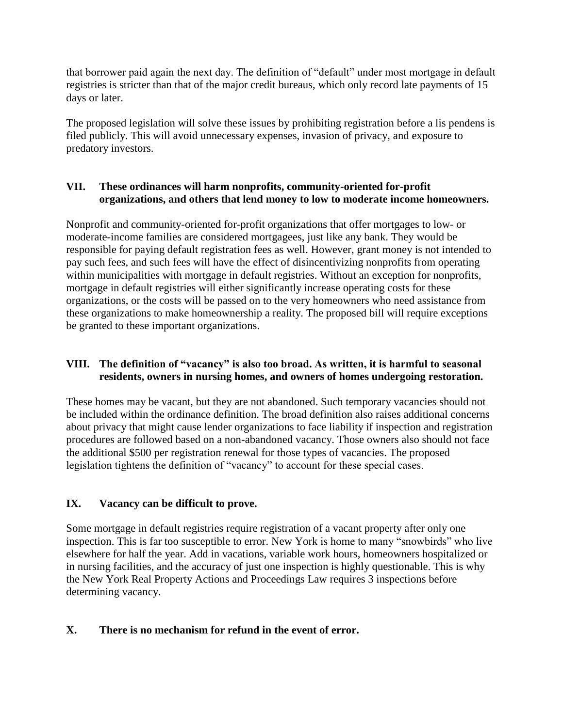that borrower paid again the next day. The definition of "default" under most mortgage in default registries is stricter than that of the major credit bureaus, which only record late payments of 15 days or later.

The proposed legislation will solve these issues by prohibiting registration before a lis pendens is filed publicly. This will avoid unnecessary expenses, invasion of privacy, and exposure to predatory investors.

# **VII. These ordinances will harm nonprofits, community-oriented for-profit organizations, and others that lend money to low to moderate income homeowners.**

Nonprofit and community-oriented for-profit organizations that offer mortgages to low- or moderate-income families are considered mortgagees, just like any bank. They would be responsible for paying default registration fees as well. However, grant money is not intended to pay such fees, and such fees will have the effect of disincentivizing nonprofits from operating within municipalities with mortgage in default registries. Without an exception for nonprofits, mortgage in default registries will either significantly increase operating costs for these organizations, or the costs will be passed on to the very homeowners who need assistance from these organizations to make homeownership a reality. The proposed bill will require exceptions be granted to these important organizations.

### **VIII. The definition of "vacancy" is also too broad. As written, it is harmful to seasonal residents, owners in nursing homes, and owners of homes undergoing restoration.**

These homes may be vacant, but they are not abandoned. Such temporary vacancies should not be included within the ordinance definition. The broad definition also raises additional concerns about privacy that might cause lender organizations to face liability if inspection and registration procedures are followed based on a non-abandoned vacancy. Those owners also should not face the additional \$500 per registration renewal for those types of vacancies. The proposed legislation tightens the definition of "vacancy" to account for these special cases.

# **IX. Vacancy can be difficult to prove.**

Some mortgage in default registries require registration of a vacant property after only one inspection. This is far too susceptible to error. New York is home to many "snowbirds" who live elsewhere for half the year. Add in vacations, variable work hours, homeowners hospitalized or in nursing facilities, and the accuracy of just one inspection is highly questionable. This is why the New York Real Property Actions and Proceedings Law requires 3 inspections before determining vacancy.

# **X. There is no mechanism for refund in the event of error.**